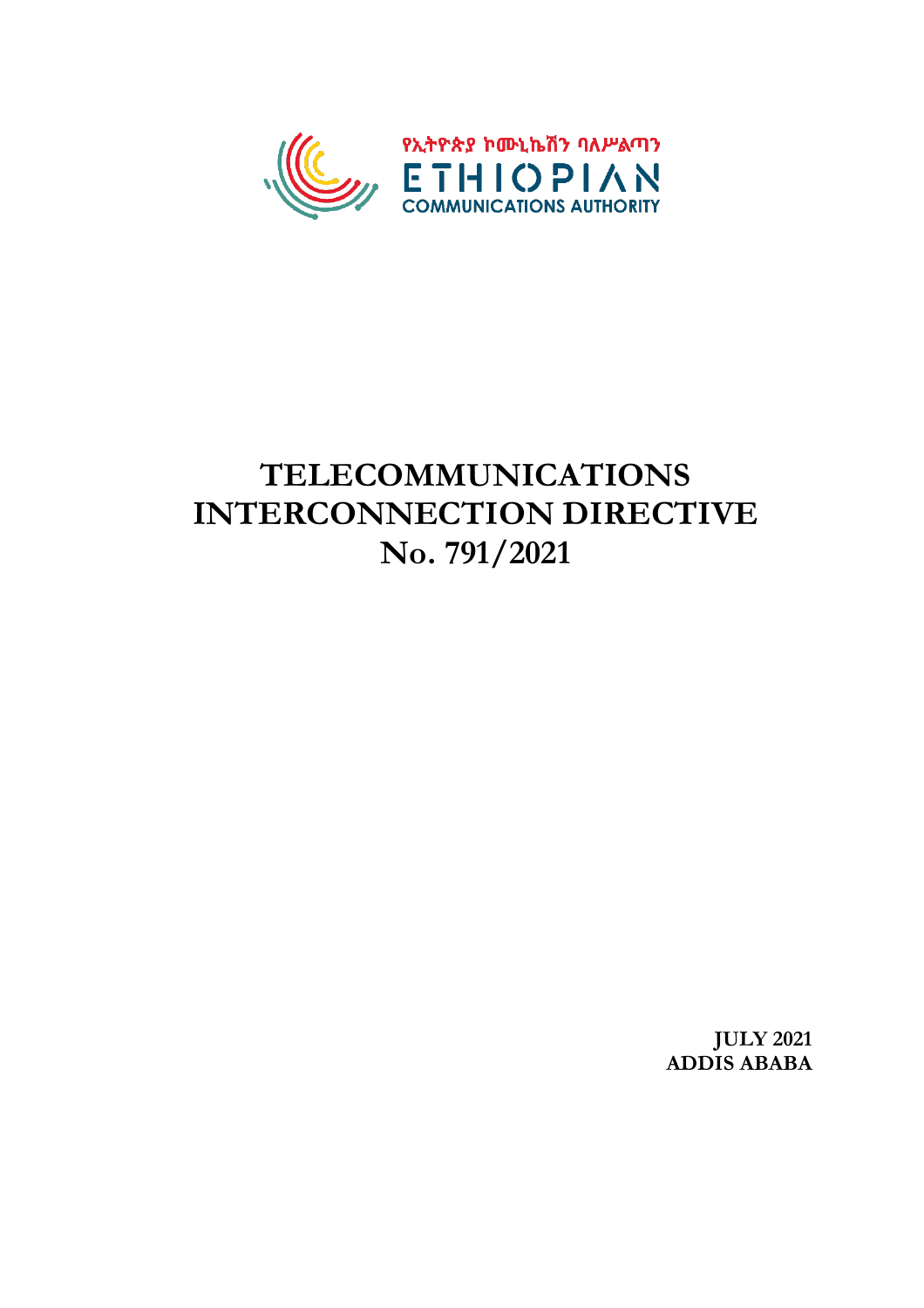

# **TELECOMMUNICATIONS INTERCONNECTION DIRECTIVE No. 791/2021**

**JULY 2021 ADDIS ABABA**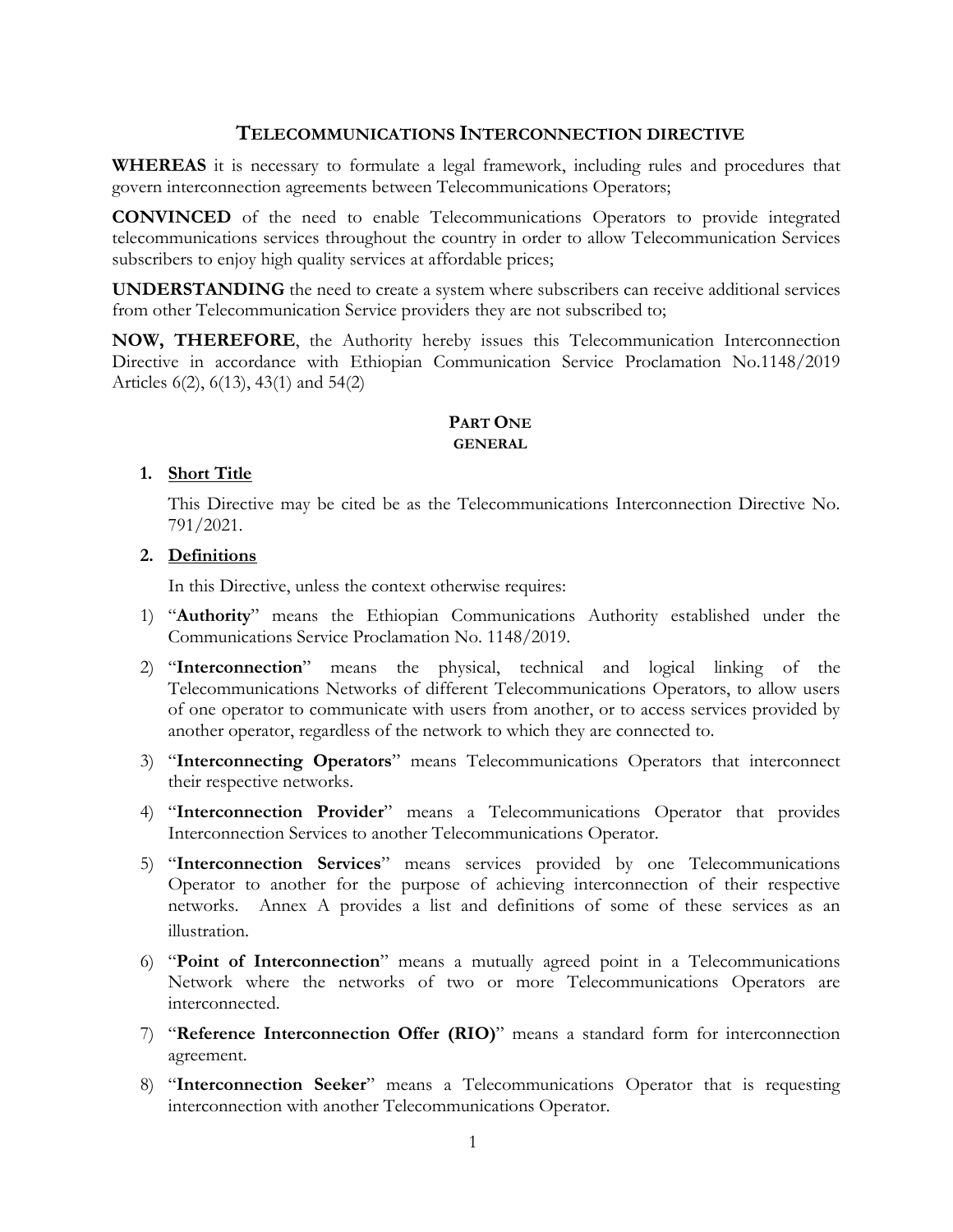# **TELECOMMUNICATIONS INTERCONNECTION DIRECTIVE**

**WHEREAS** it is necessary to formulate a legal framework, including rules and procedures that govern interconnection agreements between Telecommunications Operators;

**CONVINCED** of the need to enable Telecommunications Operators to provide integrated telecommunications services throughout the country in order to allow Telecommunication Services subscribers to enjoy high quality services at affordable prices;

**UNDERSTANDING** the need to create a system where subscribers can receive additional services from other Telecommunication Service providers they are not subscribed to;

**NOW, THEREFORE**, the Authority hereby issues this Telecommunication Interconnection Directive in accordance with Ethiopian Communication Service Proclamation No.1148/2019 Articles 6(2), 6(13), 43(1) and 54(2)

# **PART ONE GENERAL**

# **1. Short Title**

This Directive may be cited be as the Telecommunications Interconnection Directive No. 791/2021.

# **2. Definitions**

In this Directive, unless the context otherwise requires:

- 1) "**Authority**" means the Ethiopian Communications Authority established under the Communications Service Proclamation No. 1148/2019.
- 2) "**Interconnection**" means the physical, technical and logical linking of the Telecommunications Networks of different Telecommunications Operators, to allow users of one operator to communicate with users from another, or to access services provided by another operator, regardless of the network to which they are connected to.
- 3) "**Interconnecting Operators**" means Telecommunications Operators that interconnect their respective networks.
- 4) "**Interconnection Provider**" means a Telecommunications Operator that provides Interconnection Services to another Telecommunications Operator.
- 5) "**Interconnection Services**" means services provided by one Telecommunications Operator to another for the purpose of achieving interconnection of their respective networks. Annex A provides a list and definitions of some of these services as an illustration.
- 6) "**Point of Interconnection**" means a mutually agreed point in a Telecommunications Network where the networks of two or more Telecommunications Operators are interconnected.
- 7) "**Reference Interconnection Offer (RIO)**" means a standard form for interconnection agreement.
- 8) "**Interconnection Seeker**" means a Telecommunications Operator that is requesting interconnection with another Telecommunications Operator.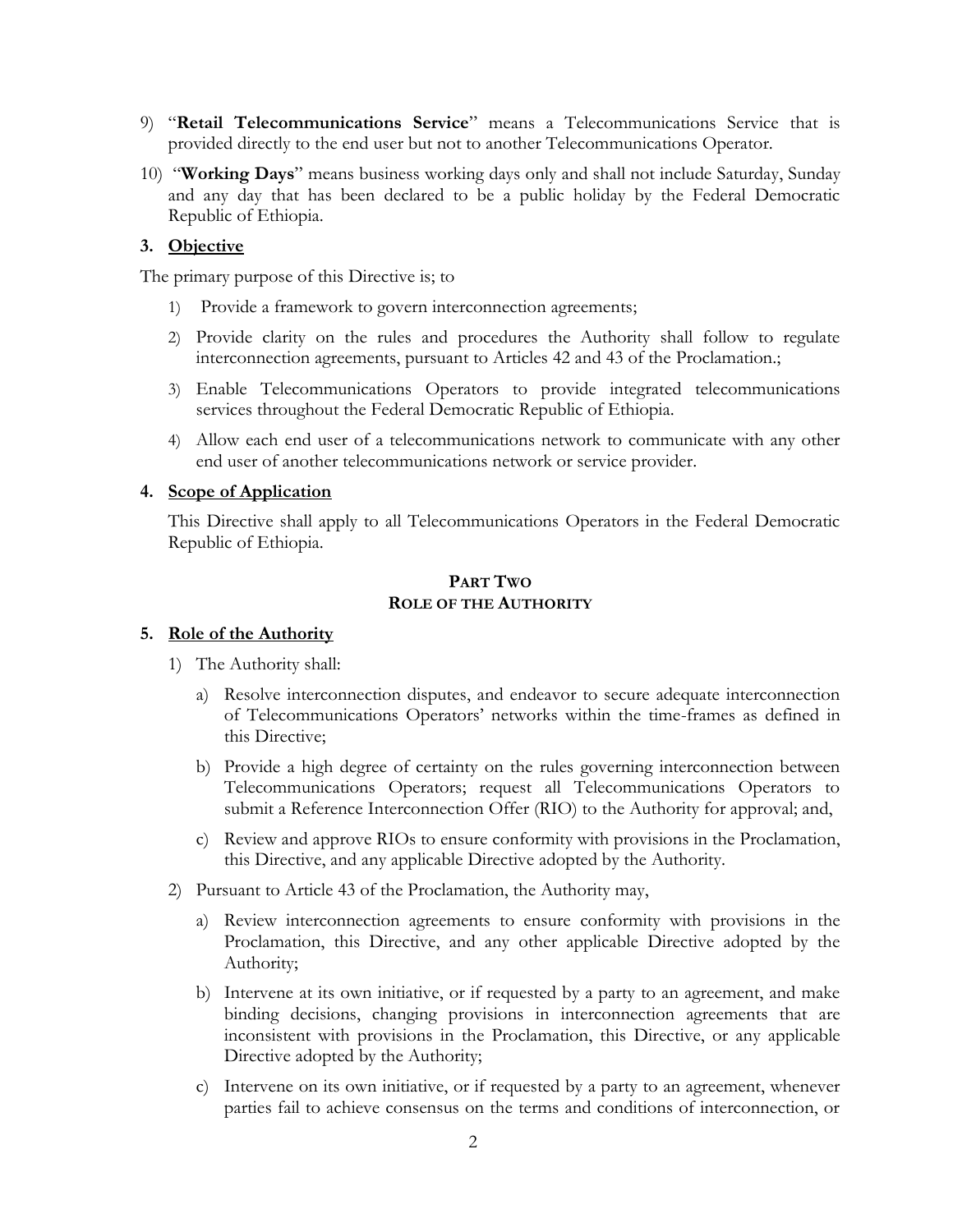- 9) "**Retail Telecommunications Service**" means a Telecommunications Service that is provided directly to the end user but not to another Telecommunications Operator.
- 10) "**Working Days**" means business working days only and shall not include Saturday, Sunday and any day that has been declared to be a public holiday by the Federal Democratic Republic of Ethiopia.

# **3. Objective**

The primary purpose of this Directive is; to

- 1) Provide a framework to govern interconnection agreements;
- 2) Provide clarity on the rules and procedures the Authority shall follow to regulate interconnection agreements, pursuant to Articles 42 and 43 of the Proclamation.;
- 3) Enable Telecommunications Operators to provide integrated telecommunications services throughout the Federal Democratic Republic of Ethiopia.
- 4) Allow each end user of a telecommunications network to communicate with any other end user of another telecommunications network or service provider.

#### **4. Scope of Application**

This Directive shall apply to all Telecommunications Operators in the Federal Democratic Republic of Ethiopia.

# **PART TWO ROLE OF THE AUTHORITY**

#### **5. Role of the Authority**

- 1) The Authority shall:
	- a) Resolve interconnection disputes, and endeavor to secure adequate interconnection of Telecommunications Operators' networks within the time-frames as defined in this Directive;
	- b) Provide a high degree of certainty on the rules governing interconnection between Telecommunications Operators; request all Telecommunications Operators to submit a Reference Interconnection Offer (RIO) to the Authority for approval; and,
	- c) Review and approve RIOs to ensure conformity with provisions in the Proclamation, this Directive, and any applicable Directive adopted by the Authority.
- 2) Pursuant to Article 43 of the Proclamation, the Authority may,
	- a) Review interconnection agreements to ensure conformity with provisions in the Proclamation, this Directive, and any other applicable Directive adopted by the Authority;
	- b) Intervene at its own initiative, or if requested by a party to an agreement, and make binding decisions, changing provisions in interconnection agreements that are inconsistent with provisions in the Proclamation, this Directive, or any applicable Directive adopted by the Authority;
	- c) Intervene on its own initiative, or if requested by a party to an agreement, whenever parties fail to achieve consensus on the terms and conditions of interconnection, or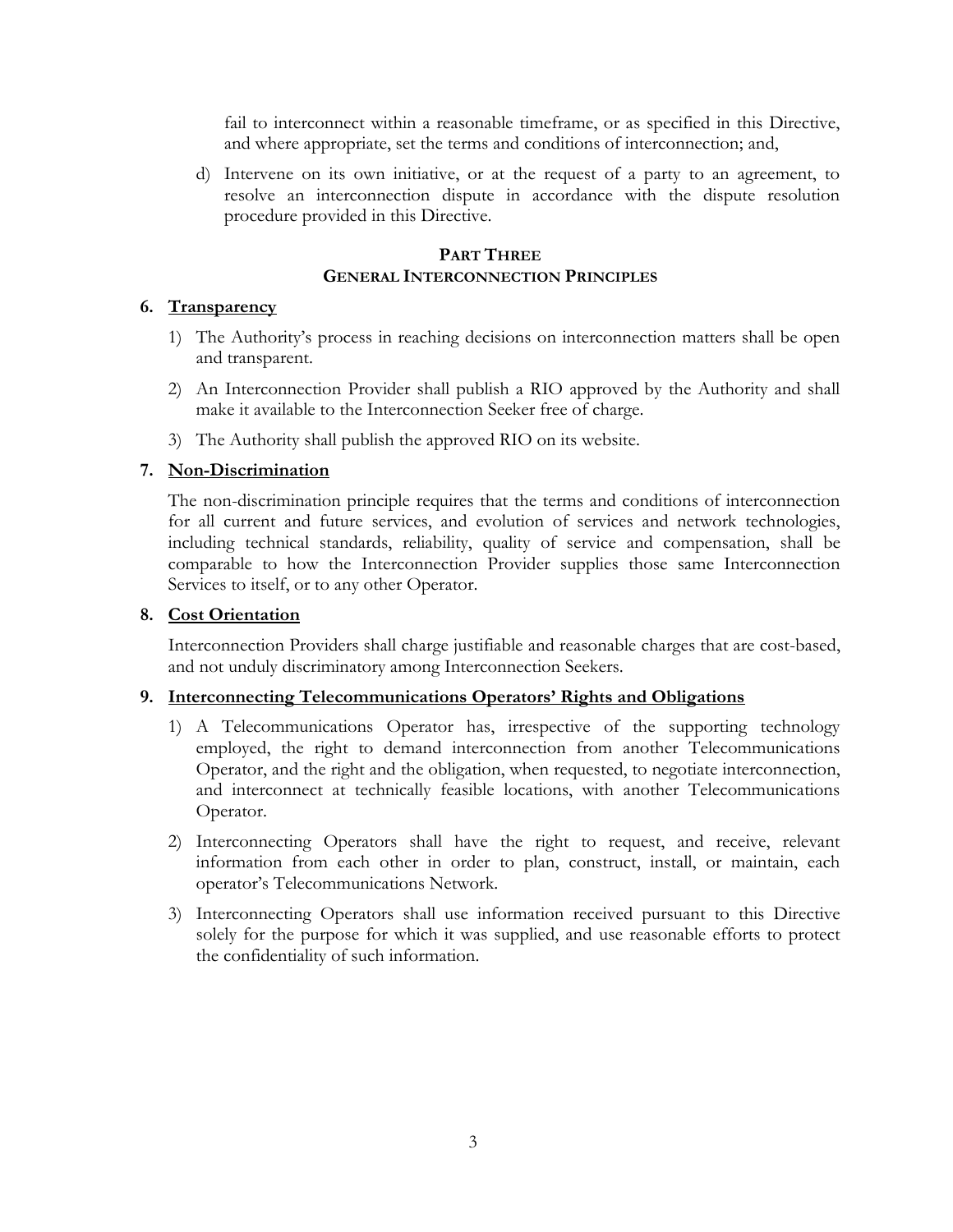fail to interconnect within a reasonable timeframe, or as specified in this Directive, and where appropriate, set the terms and conditions of interconnection; and,

d) Intervene on its own initiative, or at the request of a party to an agreement, to resolve an interconnection dispute in accordance with the dispute resolution procedure provided in this Directive.

# **PART THREE GENERAL INTERCONNECTION PRINCIPLES**

# **6. Transparency**

- 1) The Authority's process in reaching decisions on interconnection matters shall be open and transparent.
- 2) An Interconnection Provider shall publish a RIO approved by the Authority and shall make it available to the Interconnection Seeker free of charge.
- 3) The Authority shall publish the approved RIO on its website.

# **7. Non-Discrimination**

The non-discrimination principle requires that the terms and conditions of interconnection for all current and future services, and evolution of services and network technologies, including technical standards, reliability, quality of service and compensation, shall be comparable to how the Interconnection Provider supplies those same Interconnection Services to itself, or to any other Operator.

# **8. Cost Orientation**

Interconnection Providers shall charge justifiable and reasonable charges that are cost-based, and not unduly discriminatory among Interconnection Seekers.

# **9. Interconnecting Telecommunications Operators' Rights and Obligations**

- 1) A Telecommunications Operator has, irrespective of the supporting technology employed, the right to demand interconnection from another Telecommunications Operator, and the right and the obligation, when requested, to negotiate interconnection, and interconnect at technically feasible locations, with another Telecommunications Operator.
- 2) Interconnecting Operators shall have the right to request, and receive, relevant information from each other in order to plan, construct, install, or maintain, each operator's Telecommunications Network.
- 3) Interconnecting Operators shall use information received pursuant to this Directive solely for the purpose for which it was supplied, and use reasonable efforts to protect the confidentiality of such information.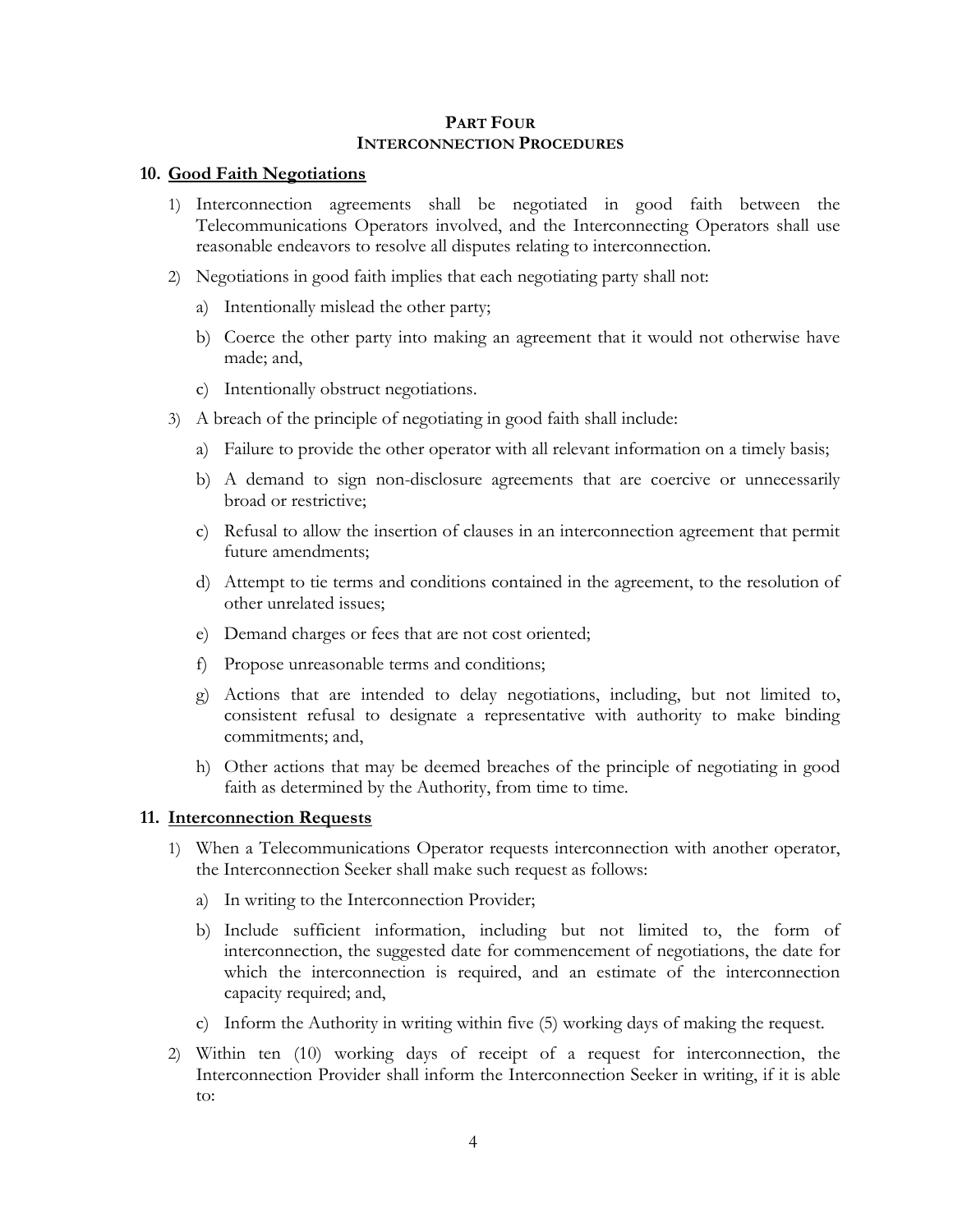#### **PART FOUR INTERCONNECTION PROCEDURES**

#### **10. Good Faith Negotiations**

- 1) Interconnection agreements shall be negotiated in good faith between the Telecommunications Operators involved, and the Interconnecting Operators shall use reasonable endeavors to resolve all disputes relating to interconnection.
- 2) Negotiations in good faith implies that each negotiating party shall not:
	- a) Intentionally mislead the other party;
	- b) Coerce the other party into making an agreement that it would not otherwise have made; and,
	- c) Intentionally obstruct negotiations.
- 3) A breach of the principle of negotiating in good faith shall include:
	- a) Failure to provide the other operator with all relevant information on a timely basis;
	- b) A demand to sign non-disclosure agreements that are coercive or unnecessarily broad or restrictive;
	- c) Refusal to allow the insertion of clauses in an interconnection agreement that permit future amendments;
	- d) Attempt to tie terms and conditions contained in the agreement, to the resolution of other unrelated issues;
	- e) Demand charges or fees that are not cost oriented;
	- f) Propose unreasonable terms and conditions;
	- g) Actions that are intended to delay negotiations, including, but not limited to, consistent refusal to designate a representative with authority to make binding commitments; and,
	- h) Other actions that may be deemed breaches of the principle of negotiating in good faith as determined by the Authority, from time to time.

#### **11. Interconnection Requests**

- 1) When a Telecommunications Operator requests interconnection with another operator, the Interconnection Seeker shall make such request as follows:
	- a) In writing to the Interconnection Provider;
	- b) Include sufficient information, including but not limited to, the form of interconnection, the suggested date for commencement of negotiations, the date for which the interconnection is required, and an estimate of the interconnection capacity required; and,
	- c) Inform the Authority in writing within five (5) working days of making the request.
- 2) Within ten (10) working days of receipt of a request for interconnection, the Interconnection Provider shall inform the Interconnection Seeker in writing, if it is able to: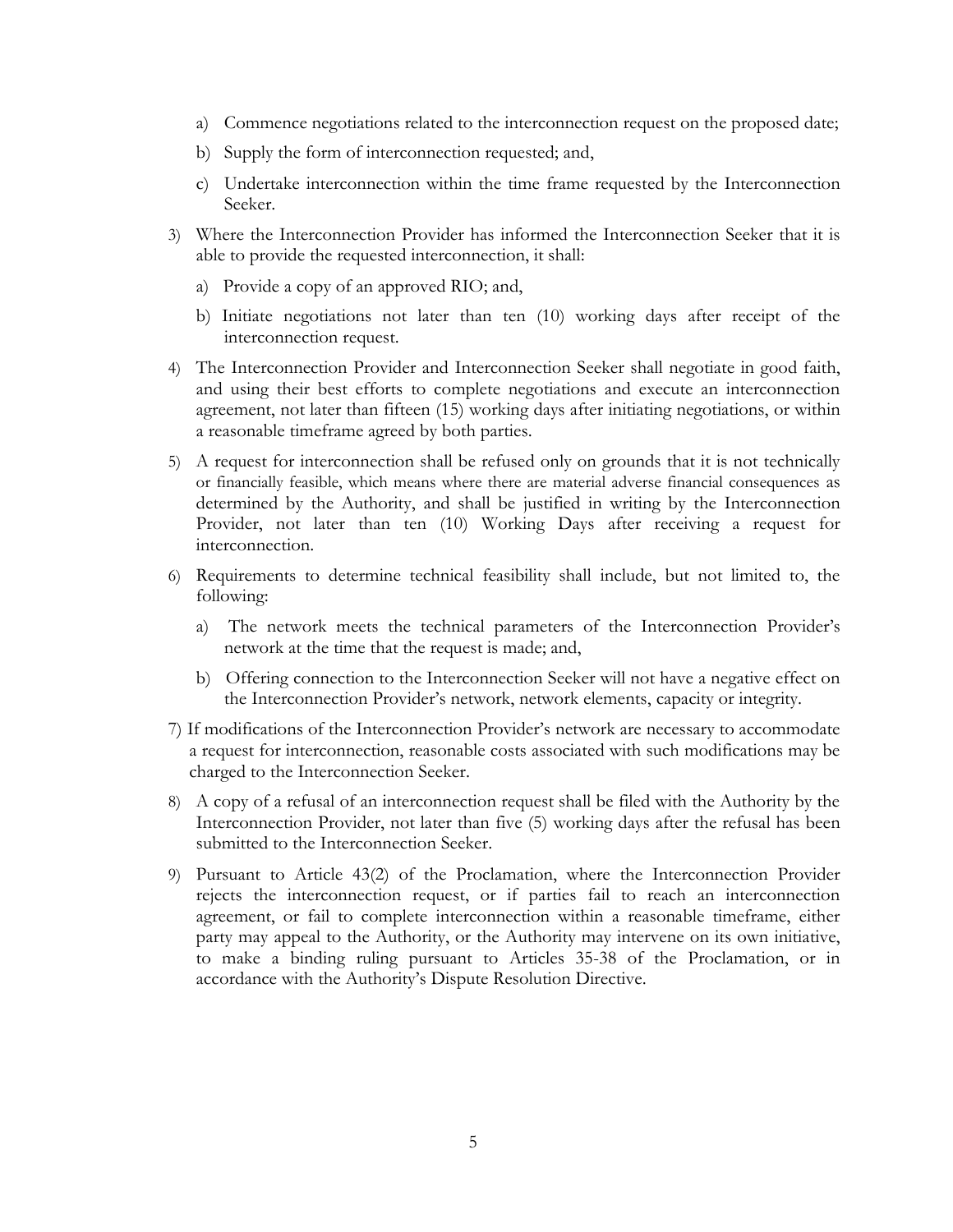- a) Commence negotiations related to the interconnection request on the proposed date;
- b) Supply the form of interconnection requested; and,
- c) Undertake interconnection within the time frame requested by the Interconnection Seeker.
- 3) Where the Interconnection Provider has informed the Interconnection Seeker that it is able to provide the requested interconnection, it shall:
	- a) Provide a copy of an approved RIO; and,
	- b) Initiate negotiations not later than ten (10) working days after receipt of the interconnection request.
- 4) The Interconnection Provider and Interconnection Seeker shall negotiate in good faith, and using their best efforts to complete negotiations and execute an interconnection agreement, not later than fifteen (15) working days after initiating negotiations, or within a reasonable timeframe agreed by both parties.
- 5) A request for interconnection shall be refused only on grounds that it is not technically or financially feasible, which means where there are material adverse financial consequences as determined by the Authority, and shall be justified in writing by the Interconnection Provider, not later than ten (10) Working Days after receiving a request for interconnection.
- 6) Requirements to determine technical feasibility shall include, but not limited to, the following:
	- a) The network meets the technical parameters of the Interconnection Provider's network at the time that the request is made; and,
	- b) Offering connection to the Interconnection Seeker will not have a negative effect on the Interconnection Provider's network, network elements, capacity or integrity.
- 7) If modifications of the Interconnection Provider's network are necessary to accommodate a request for interconnection, reasonable costs associated with such modifications may be charged to the Interconnection Seeker.
- 8) A copy of a refusal of an interconnection request shall be filed with the Authority by the Interconnection Provider, not later than five (5) working days after the refusal has been submitted to the Interconnection Seeker.
- 9) Pursuant to Article 43(2) of the Proclamation, where the Interconnection Provider rejects the interconnection request, or if parties fail to reach an interconnection agreement, or fail to complete interconnection within a reasonable timeframe, either party may appeal to the Authority, or the Authority may intervene on its own initiative, to make a binding ruling pursuant to Articles 35-38 of the Proclamation, or in accordance with the Authority's Dispute Resolution Directive.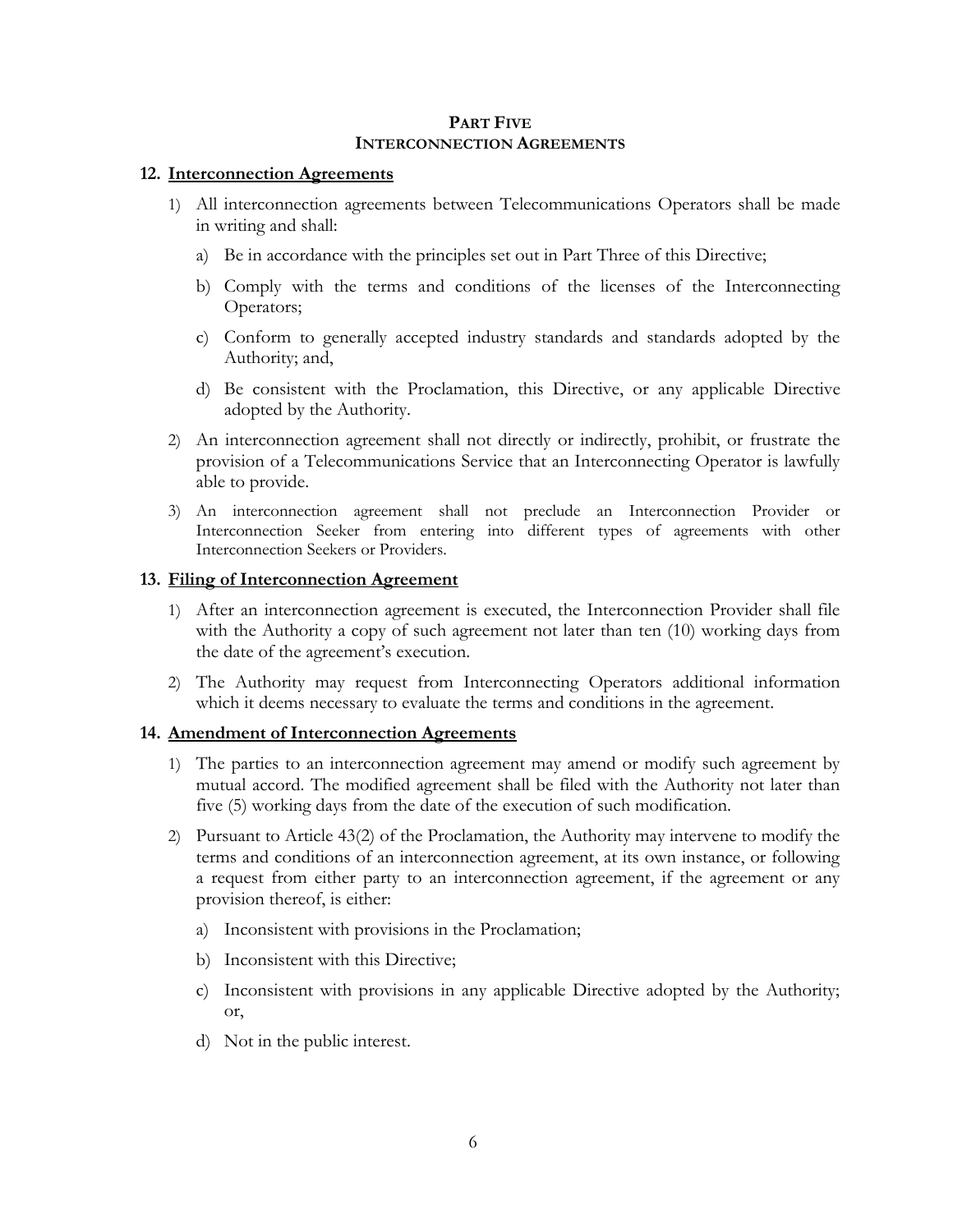# **PART FIVE INTERCONNECTION AGREEMENTS**

# **12. Interconnection Agreements**

- 1) All interconnection agreements between Telecommunications Operators shall be made in writing and shall:
	- a) Be in accordance with the principles set out in Part Three of this Directive;
	- b) Comply with the terms and conditions of the licenses of the Interconnecting Operators;
	- c) Conform to generally accepted industry standards and standards adopted by the Authority; and,
	- d) Be consistent with the Proclamation, this Directive, or any applicable Directive adopted by the Authority.
- 2) An interconnection agreement shall not directly or indirectly, prohibit, or frustrate the provision of a Telecommunications Service that an Interconnecting Operator is lawfully able to provide.
- 3) An interconnection agreement shall not preclude an Interconnection Provider or Interconnection Seeker from entering into different types of agreements with other Interconnection Seekers or Providers.

# **13. Filing of Interconnection Agreement**

- 1) After an interconnection agreement is executed, the Interconnection Provider shall file with the Authority a copy of such agreement not later than ten (10) working days from the date of the agreement's execution.
- 2) The Authority may request from Interconnecting Operators additional information which it deems necessary to evaluate the terms and conditions in the agreement.

# **14. Amendment of Interconnection Agreements**

- 1) The parties to an interconnection agreement may amend or modify such agreement by mutual accord. The modified agreement shall be filed with the Authority not later than five (5) working days from the date of the execution of such modification.
- 2) Pursuant to Article 43(2) of the Proclamation, the Authority may intervene to modify the terms and conditions of an interconnection agreement, at its own instance, or following a request from either party to an interconnection agreement, if the agreement or any provision thereof, is either:
	- a) Inconsistent with provisions in the Proclamation;
	- b) Inconsistent with this Directive;
	- c) Inconsistent with provisions in any applicable Directive adopted by the Authority; or,
	- d) Not in the public interest.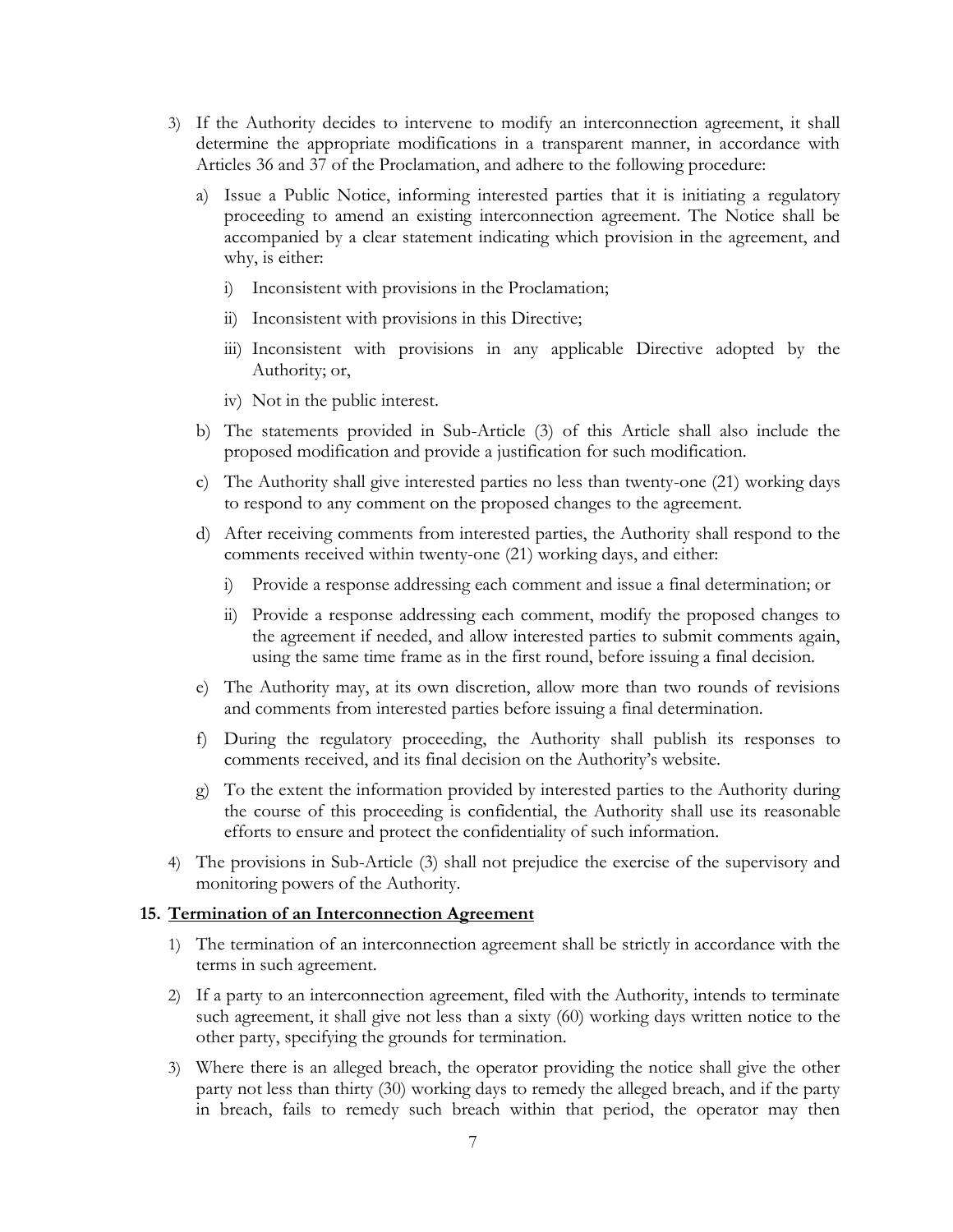- 3) If the Authority decides to intervene to modify an interconnection agreement, it shall determine the appropriate modifications in a transparent manner, in accordance with Articles 36 and 37 of the Proclamation, and adhere to the following procedure:
	- a) Issue a Public Notice, informing interested parties that it is initiating a regulatory proceeding to amend an existing interconnection agreement. The Notice shall be accompanied by a clear statement indicating which provision in the agreement, and why, is either:
		- i) Inconsistent with provisions in the Proclamation;
		- ii) Inconsistent with provisions in this Directive;
		- iii) Inconsistent with provisions in any applicable Directive adopted by the Authority; or,
		- iv) Not in the public interest.
	- b) The statements provided in Sub-Article (3) of this Article shall also include the proposed modification and provide a justification for such modification.
	- c) The Authority shall give interested parties no less than twenty-one (21) working days to respond to any comment on the proposed changes to the agreement.
	- d) After receiving comments from interested parties, the Authority shall respond to the comments received within twenty-one (21) working days, and either:
		- i) Provide a response addressing each comment and issue a final determination; or
		- ii) Provide a response addressing each comment, modify the proposed changes to the agreement if needed, and allow interested parties to submit comments again, using the same time frame as in the first round, before issuing a final decision.
	- e) The Authority may, at its own discretion, allow more than two rounds of revisions and comments from interested parties before issuing a final determination.
	- f) During the regulatory proceeding, the Authority shall publish its responses to comments received, and its final decision on the Authority's website.
	- g) To the extent the information provided by interested parties to the Authority during the course of this proceeding is confidential, the Authority shall use its reasonable efforts to ensure and protect the confidentiality of such information.
- 4) The provisions in Sub-Article (3) shall not prejudice the exercise of the supervisory and monitoring powers of the Authority.

#### **15. Termination of an Interconnection Agreement**

- 1) The termination of an interconnection agreement shall be strictly in accordance with the terms in such agreement.
- 2) If a party to an interconnection agreement, filed with the Authority, intends to terminate such agreement, it shall give not less than a sixty (60) working days written notice to the other party, specifying the grounds for termination.
- 3) Where there is an alleged breach, the operator providing the notice shall give the other party not less than thirty (30) working days to remedy the alleged breach, and if the party in breach, fails to remedy such breach within that period, the operator may then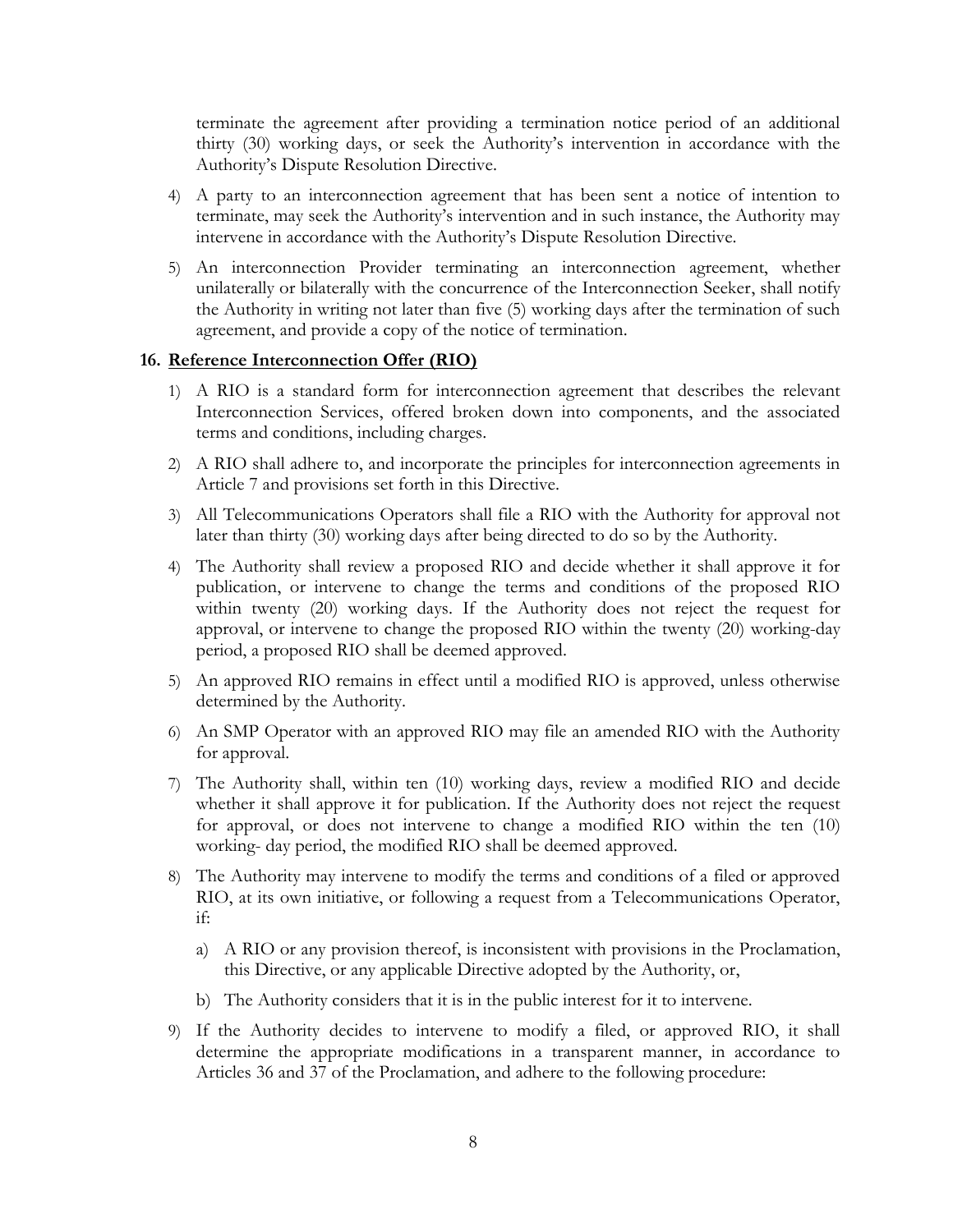terminate the agreement after providing a termination notice period of an additional thirty (30) working days, or seek the Authority's intervention in accordance with the Authority's Dispute Resolution Directive.

- 4) A party to an interconnection agreement that has been sent a notice of intention to terminate, may seek the Authority's intervention and in such instance, the Authority may intervene in accordance with the Authority's Dispute Resolution Directive.
- 5) An interconnection Provider terminating an interconnection agreement, whether unilaterally or bilaterally with the concurrence of the Interconnection Seeker, shall notify the Authority in writing not later than five (5) working days after the termination of such agreement, and provide a copy of the notice of termination.

#### **16. Reference Interconnection Offer (RIO)**

- 1) A RIO is a standard form for interconnection agreement that describes the relevant Interconnection Services, offered broken down into components, and the associated terms and conditions, including charges.
- 2) A RIO shall adhere to, and incorporate the principles for interconnection agreements in Article 7 and provisions set forth in this Directive.
- 3) All Telecommunications Operators shall file a RIO with the Authority for approval not later than thirty (30) working days after being directed to do so by the Authority.
- 4) The Authority shall review a proposed RIO and decide whether it shall approve it for publication, or intervene to change the terms and conditions of the proposed RIO within twenty (20) working days. If the Authority does not reject the request for approval, or intervene to change the proposed RIO within the twenty (20) working-day period, a proposed RIO shall be deemed approved.
- 5) An approved RIO remains in effect until a modified RIO is approved, unless otherwise determined by the Authority.
- 6) An SMP Operator with an approved RIO may file an amended RIO with the Authority for approval.
- 7) The Authority shall, within ten (10) working days, review a modified RIO and decide whether it shall approve it for publication. If the Authority does not reject the request for approval, or does not intervene to change a modified RIO within the ten (10) working- day period, the modified RIO shall be deemed approved.
- 8) The Authority may intervene to modify the terms and conditions of a filed or approved RIO, at its own initiative, or following a request from a Telecommunications Operator, if:
	- a) A RIO or any provision thereof, is inconsistent with provisions in the Proclamation, this Directive, or any applicable Directive adopted by the Authority, or,
	- b) The Authority considers that it is in the public interest for it to intervene.
- 9) If the Authority decides to intervene to modify a filed, or approved RIO, it shall determine the appropriate modifications in a transparent manner, in accordance to Articles 36 and 37 of the Proclamation, and adhere to the following procedure: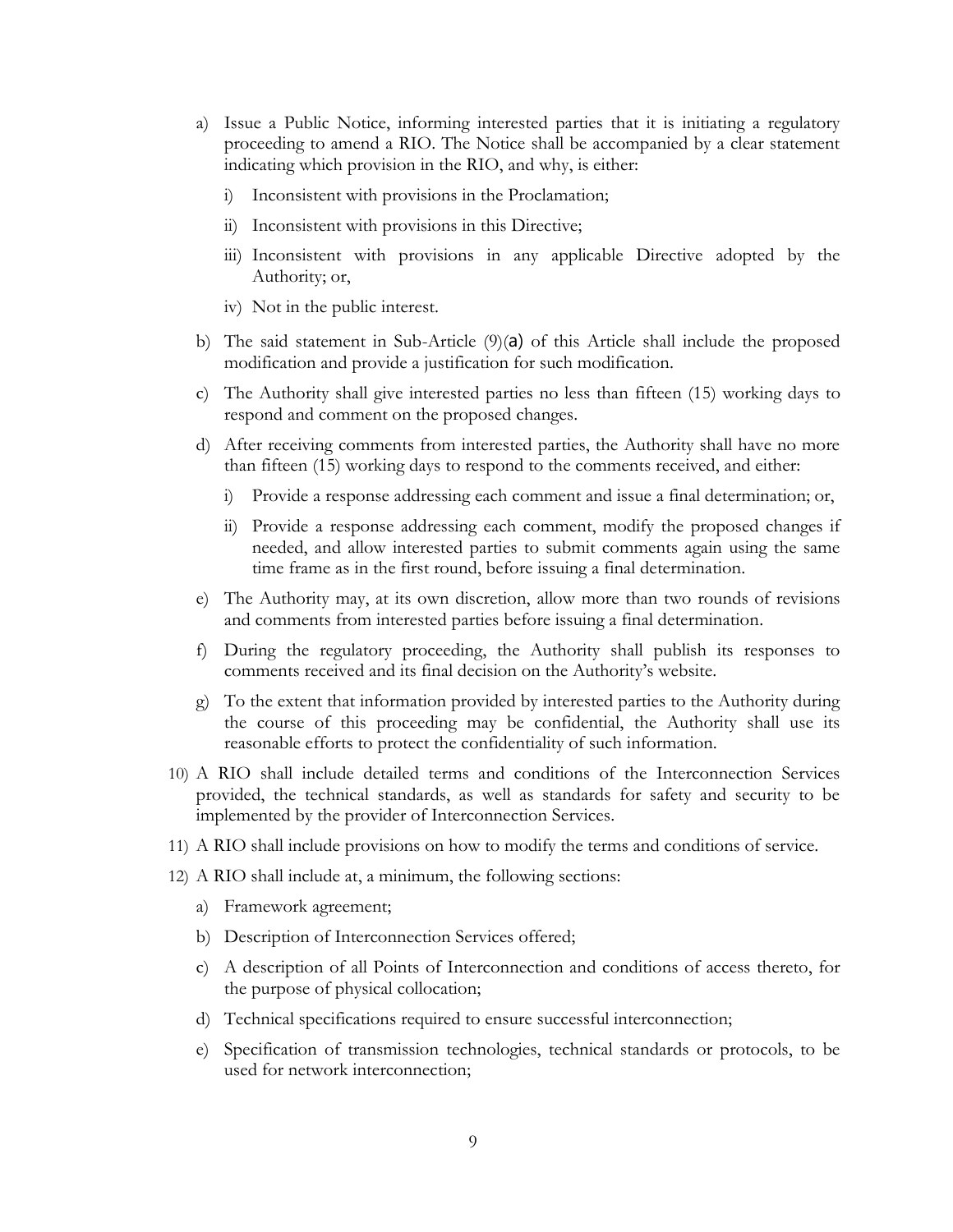- a) Issue a Public Notice, informing interested parties that it is initiating a regulatory proceeding to amend a RIO. The Notice shall be accompanied by a clear statement indicating which provision in the RIO, and why, is either:
	- i) Inconsistent with provisions in the Proclamation;
	- ii) Inconsistent with provisions in this Directive;
	- iii) Inconsistent with provisions in any applicable Directive adopted by the Authority; or,
	- iv) Not in the public interest.
- b) The said statement in Sub-Article  $(9)(a)$  of this Article shall include the proposed modification and provide a justification for such modification.
- c) The Authority shall give interested parties no less than fifteen (15) working days to respond and comment on the proposed changes.
- d) After receiving comments from interested parties, the Authority shall have no more than fifteen (15) working days to respond to the comments received, and either:
	- i) Provide a response addressing each comment and issue a final determination; or,
	- ii) Provide a response addressing each comment, modify the proposed changes if needed, and allow interested parties to submit comments again using the same time frame as in the first round, before issuing a final determination.
- e) The Authority may, at its own discretion, allow more than two rounds of revisions and comments from interested parties before issuing a final determination.
- f) During the regulatory proceeding, the Authority shall publish its responses to comments received and its final decision on the Authority's website.
- g) To the extent that information provided by interested parties to the Authority during the course of this proceeding may be confidential, the Authority shall use its reasonable efforts to protect the confidentiality of such information.
- 10) A RIO shall include detailed terms and conditions of the Interconnection Services provided, the technical standards, as well as standards for safety and security to be implemented by the provider of Interconnection Services.
- 11) A RIO shall include provisions on how to modify the terms and conditions of service.
- 12) A RIO shall include at, a minimum, the following sections:
	- a) Framework agreement;
	- b) Description of Interconnection Services offered;
	- c) A description of all Points of Interconnection and conditions of access thereto, for the purpose of physical collocation;
	- d) Technical specifications required to ensure successful interconnection;
	- e) Specification of transmission technologies, technical standards or protocols, to be used for network interconnection;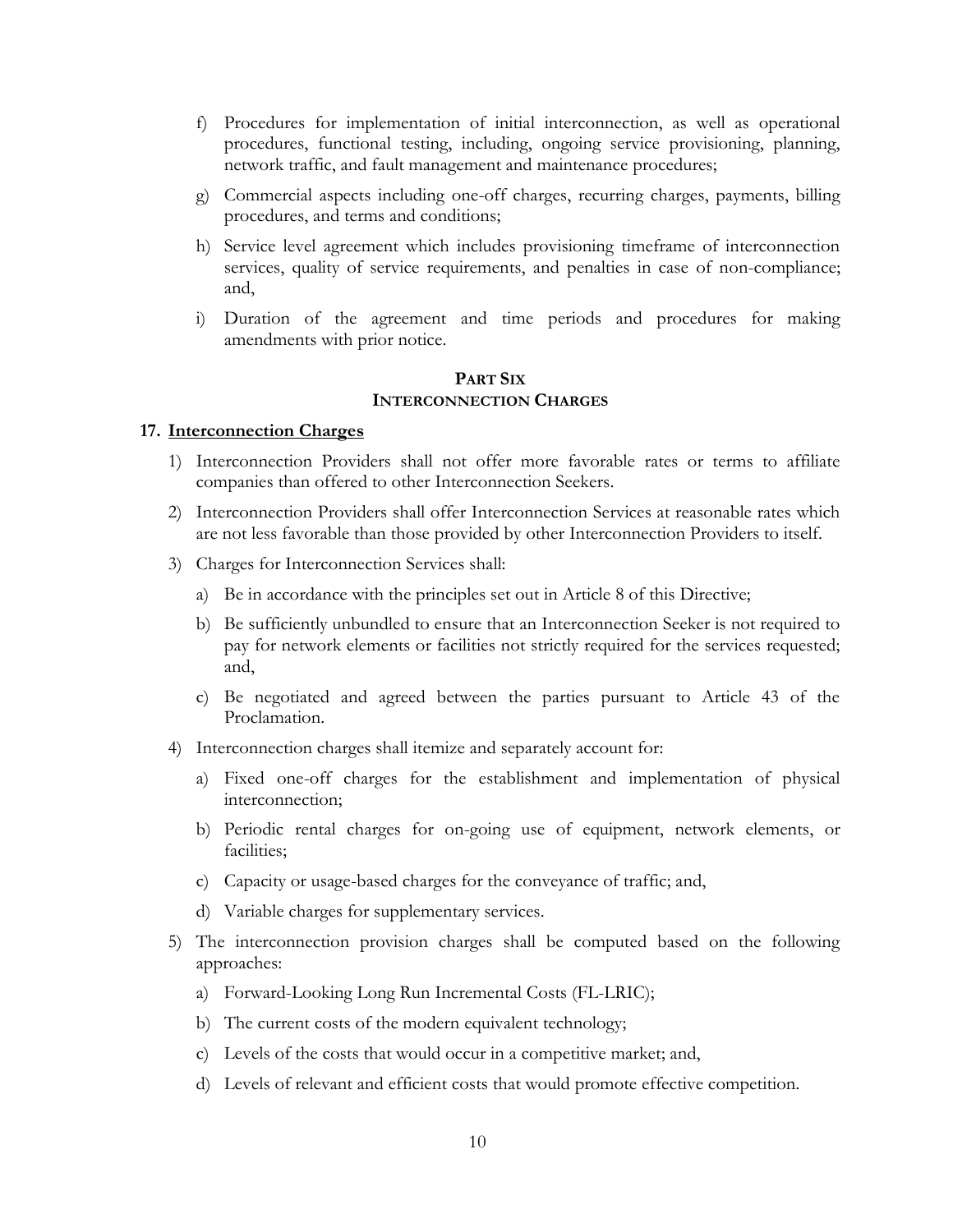- f) Procedures for implementation of initial interconnection, as well as operational procedures, functional testing, including, ongoing service provisioning, planning, network traffic, and fault management and maintenance procedures;
- g) Commercial aspects including one-off charges, recurring charges, payments, billing procedures, and terms and conditions;
- h) Service level agreement which includes provisioning timeframe of interconnection services, quality of service requirements, and penalties in case of non-compliance; and,
- i) Duration of the agreement and time periods and procedures for making amendments with prior notice.

# **PART SIX INTERCONNECTION CHARGES**

#### **17. Interconnection Charges**

- 1) Interconnection Providers shall not offer more favorable rates or terms to affiliate companies than offered to other Interconnection Seekers.
- 2) Interconnection Providers shall offer Interconnection Services at reasonable rates which are not less favorable than those provided by other Interconnection Providers to itself.
- 3) Charges for Interconnection Services shall:
	- a) Be in accordance with the principles set out in Article 8 of this Directive;
	- b) Be sufficiently unbundled to ensure that an Interconnection Seeker is not required to pay for network elements or facilities not strictly required for the services requested; and,
	- c) Be negotiated and agreed between the parties pursuant to Article 43 of the Proclamation.
- 4) Interconnection charges shall itemize and separately account for:
	- a) Fixed one-off charges for the establishment and implementation of physical interconnection;
	- b) Periodic rental charges for on-going use of equipment, network elements, or facilities;
	- c) Capacity or usage-based charges for the conveyance of traffic; and,
	- d) Variable charges for supplementary services.
- 5) The interconnection provision charges shall be computed based on the following approaches:
	- a) Forward-Looking Long Run Incremental Costs (FL-LRIC);
	- b) The current costs of the modern equivalent technology;
	- c) Levels of the costs that would occur in a competitive market; and,
	- d) Levels of relevant and efficient costs that would promote effective competition.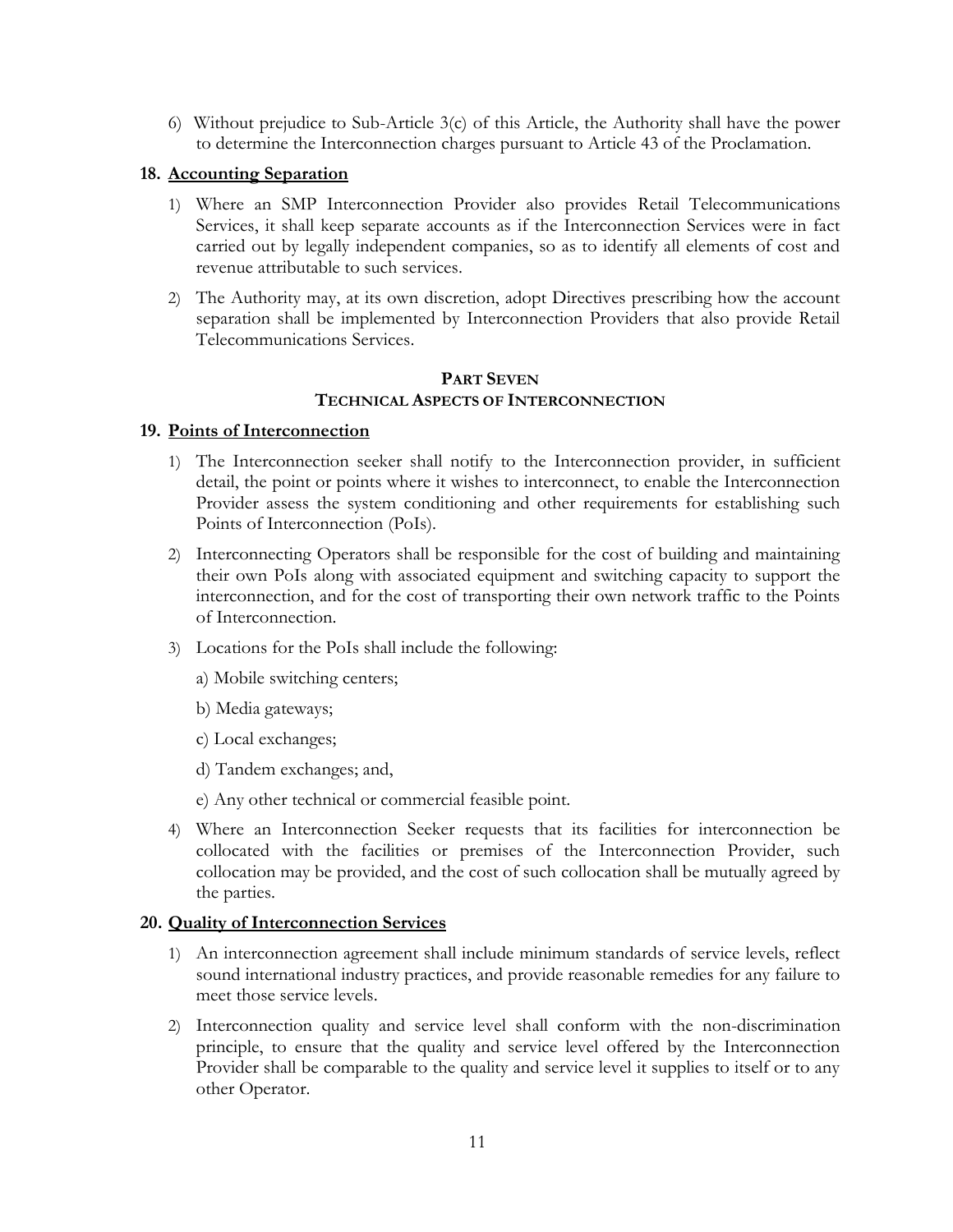6) Without prejudice to Sub-Article 3(c) of this Article, the Authority shall have the power to determine the Interconnection charges pursuant to Article 43 of the Proclamation.

# **18. Accounting Separation**

- 1) Where an SMP Interconnection Provider also provides Retail Telecommunications Services, it shall keep separate accounts as if the Interconnection Services were in fact carried out by legally independent companies, so as to identify all elements of cost and revenue attributable to such services.
- 2) The Authority may, at its own discretion, adopt Directives prescribing how the account separation shall be implemented by Interconnection Providers that also provide Retail Telecommunications Services.

# **PART SEVEN TECHNICAL ASPECTS OF INTERCONNECTION**

# **19. Points of Interconnection**

- 1) The Interconnection seeker shall notify to the Interconnection provider, in sufficient detail, the point or points where it wishes to interconnect, to enable the Interconnection Provider assess the system conditioning and other requirements for establishing such Points of Interconnection (PoIs).
- 2) Interconnecting Operators shall be responsible for the cost of building and maintaining their own PoIs along with associated equipment and switching capacity to support the interconnection, and for the cost of transporting their own network traffic to the Points of Interconnection.
- 3) Locations for the PoIs shall include the following:
	- a) Mobile switching centers;
	- b) Media gateways;
	- c) Local exchanges;
	- d) Tandem exchanges; and,
	- e) Any other technical or commercial feasible point.
- 4) Where an Interconnection Seeker requests that its facilities for interconnection be collocated with the facilities or premises of the Interconnection Provider, such collocation may be provided, and the cost of such collocation shall be mutually agreed by the parties.

#### **20. Quality of Interconnection Services**

- 1) An interconnection agreement shall include minimum standards of service levels, reflect sound international industry practices, and provide reasonable remedies for any failure to meet those service levels.
- 2) Interconnection quality and service level shall conform with the non-discrimination principle, to ensure that the quality and service level offered by the Interconnection Provider shall be comparable to the quality and service level it supplies to itself or to any other Operator.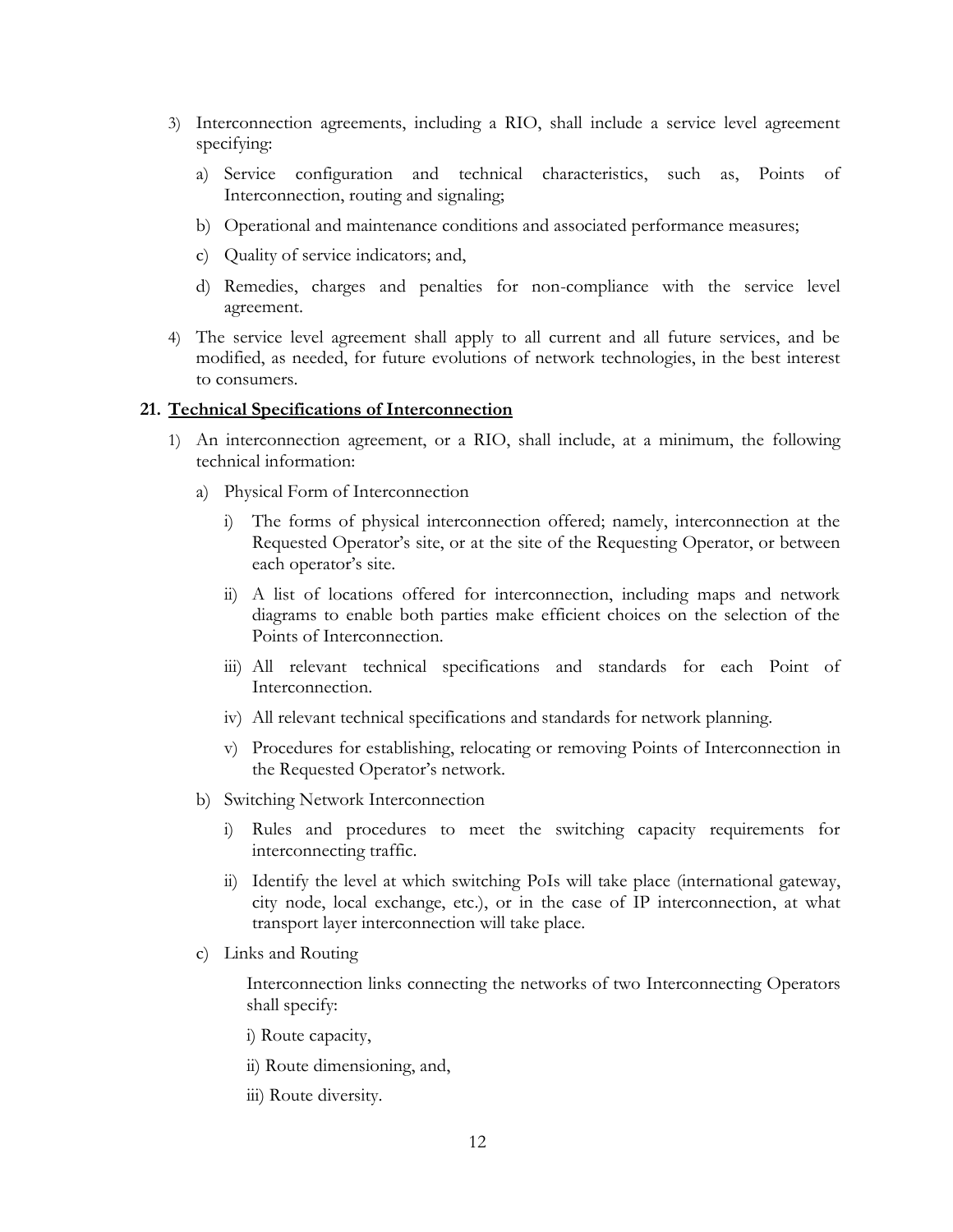- 3) Interconnection agreements, including a RIO, shall include a service level agreement specifying:
	- a) Service configuration and technical characteristics, such as, Points of Interconnection, routing and signaling;
	- b) Operational and maintenance conditions and associated performance measures;
	- c) Quality of service indicators; and,
	- d) Remedies, charges and penalties for non-compliance with the service level agreement.
- 4) The service level agreement shall apply to all current and all future services, and be modified, as needed, for future evolutions of network technologies, in the best interest to consumers.

#### **21. Technical Specifications of Interconnection**

- 1) An interconnection agreement, or a RIO, shall include, at a minimum, the following technical information:
	- a) Physical Form of Interconnection
		- i) The forms of physical interconnection offered; namely, interconnection at the Requested Operator's site, or at the site of the Requesting Operator, or between each operator's site.
		- ii) A list of locations offered for interconnection, including maps and network diagrams to enable both parties make efficient choices on the selection of the Points of Interconnection.
		- iii) All relevant technical specifications and standards for each Point of Interconnection.
		- iv) All relevant technical specifications and standards for network planning.
		- v) Procedures for establishing, relocating or removing Points of Interconnection in the Requested Operator's network.
	- b) Switching Network Interconnection
		- i) Rules and procedures to meet the switching capacity requirements for interconnecting traffic.
		- ii) Identify the level at which switching PoIs will take place (international gateway, city node, local exchange, etc.), or in the case of IP interconnection, at what transport layer interconnection will take place.
	- c) Links and Routing

Interconnection links connecting the networks of two Interconnecting Operators shall specify:

- i) Route capacity,
- ii) Route dimensioning, and,
- iii) Route diversity.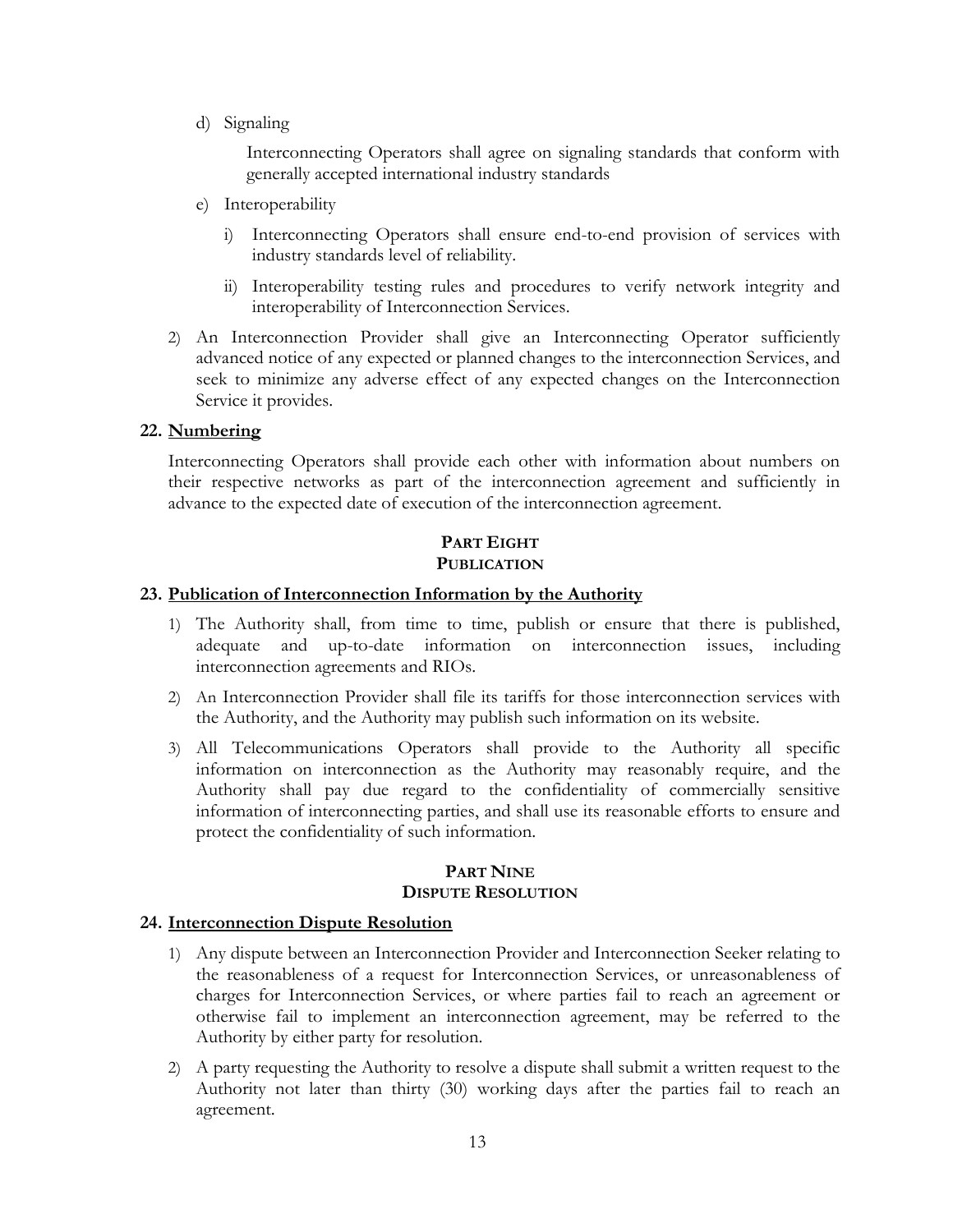d) Signaling

Interconnecting Operators shall agree on signaling standards that conform with generally accepted international industry standards

- e) Interoperability
	- i) Interconnecting Operators shall ensure end-to-end provision of services with industry standards level of reliability.
	- ii) Interoperability testing rules and procedures to verify network integrity and interoperability of Interconnection Services.
- 2) An Interconnection Provider shall give an Interconnecting Operator sufficiently advanced notice of any expected or planned changes to the interconnection Services, and seek to minimize any adverse effect of any expected changes on the Interconnection Service it provides.

# **22. Numbering**

Interconnecting Operators shall provide each other with information about numbers on their respective networks as part of the interconnection agreement and sufficiently in advance to the expected date of execution of the interconnection agreement.

# **PART EIGHT PUBLICATION**

# **23. Publication of Interconnection Information by the Authority**

- 1) The Authority shall, from time to time, publish or ensure that there is published, adequate and up-to-date information on interconnection issues, including interconnection agreements and RIOs.
- 2) An Interconnection Provider shall file its tariffs for those interconnection services with the Authority, and the Authority may publish such information on its website.
- 3) All Telecommunications Operators shall provide to the Authority all specific information on interconnection as the Authority may reasonably require, and the Authority shall pay due regard to the confidentiality of commercially sensitive information of interconnecting parties, and shall use its reasonable efforts to ensure and protect the confidentiality of such information.

# **PART NINE DISPUTE RESOLUTION**

#### **24. Interconnection Dispute Resolution**

- 1) Any dispute between an Interconnection Provider and Interconnection Seeker relating to the reasonableness of a request for Interconnection Services, or unreasonableness of charges for Interconnection Services, or where parties fail to reach an agreement or otherwise fail to implement an interconnection agreement, may be referred to the Authority by either party for resolution.
- 2) A party requesting the Authority to resolve a dispute shall submit a written request to the Authority not later than thirty (30) working days after the parties fail to reach an agreement.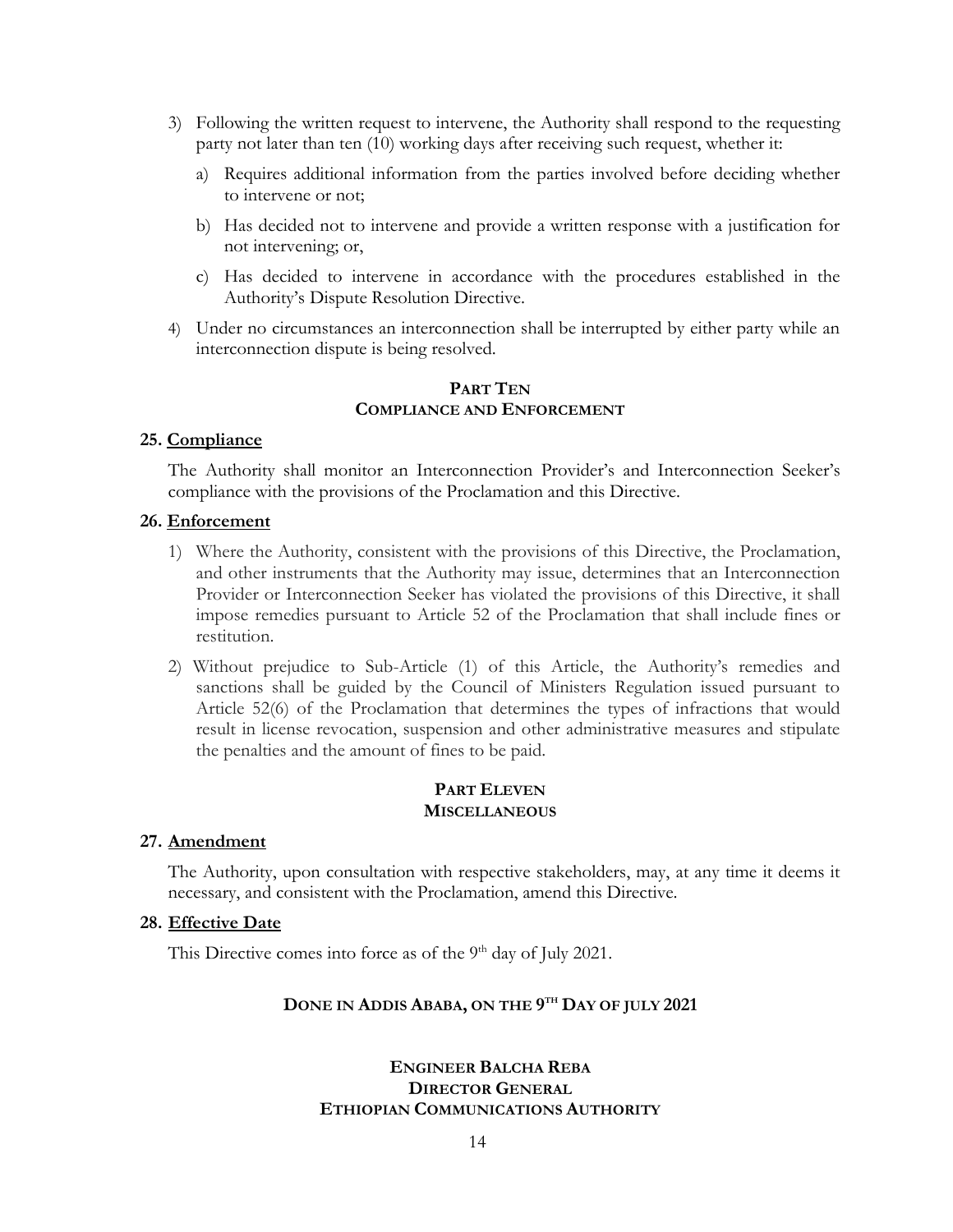- 3) Following the written request to intervene, the Authority shall respond to the requesting party not later than ten (10) working days after receiving such request, whether it:
	- a) Requires additional information from the parties involved before deciding whether to intervene or not;
	- b) Has decided not to intervene and provide a written response with a justification for not intervening; or,
	- c) Has decided to intervene in accordance with the procedures established in the Authority's Dispute Resolution Directive.
- 4) Under no circumstances an interconnection shall be interrupted by either party while an interconnection dispute is being resolved.

#### **PART TEN COMPLIANCE AND ENFORCEMENT**

#### **25. Compliance**

The Authority shall monitor an Interconnection Provider's and Interconnection Seeker's compliance with the provisions of the Proclamation and this Directive.

#### **26. Enforcement**

- 1) Where the Authority, consistent with the provisions of this Directive, the Proclamation, and other instruments that the Authority may issue, determines that an Interconnection Provider or Interconnection Seeker has violated the provisions of this Directive, it shall impose remedies pursuant to Article 52 of the Proclamation that shall include fines or restitution.
- 2) Without prejudice to Sub-Article (1) of this Article, the Authority's remedies and sanctions shall be guided by the Council of Ministers Regulation issued pursuant to Article 52(6) of the Proclamation that determines the types of infractions that would result in license revocation, suspension and other administrative measures and stipulate the penalties and the amount of fines to be paid.

#### **PART ELEVEN MISCELLANEOUS**

#### **27. Amendment**

The Authority, upon consultation with respective stakeholders, may, at any time it deems it necessary, and consistent with the Proclamation, amend this Directive.

#### **28. Effective Date**

This Directive comes into force as of the  $9<sup>th</sup>$  day of July 2021.

#### **DONE IN ADDIS ABABA, ON THE 9 TH DAY OF JULY 2021**

# **ENGINEER BALCHA REBA DIRECTOR GENERAL ETHIOPIAN COMMUNICATIONS AUTHORITY**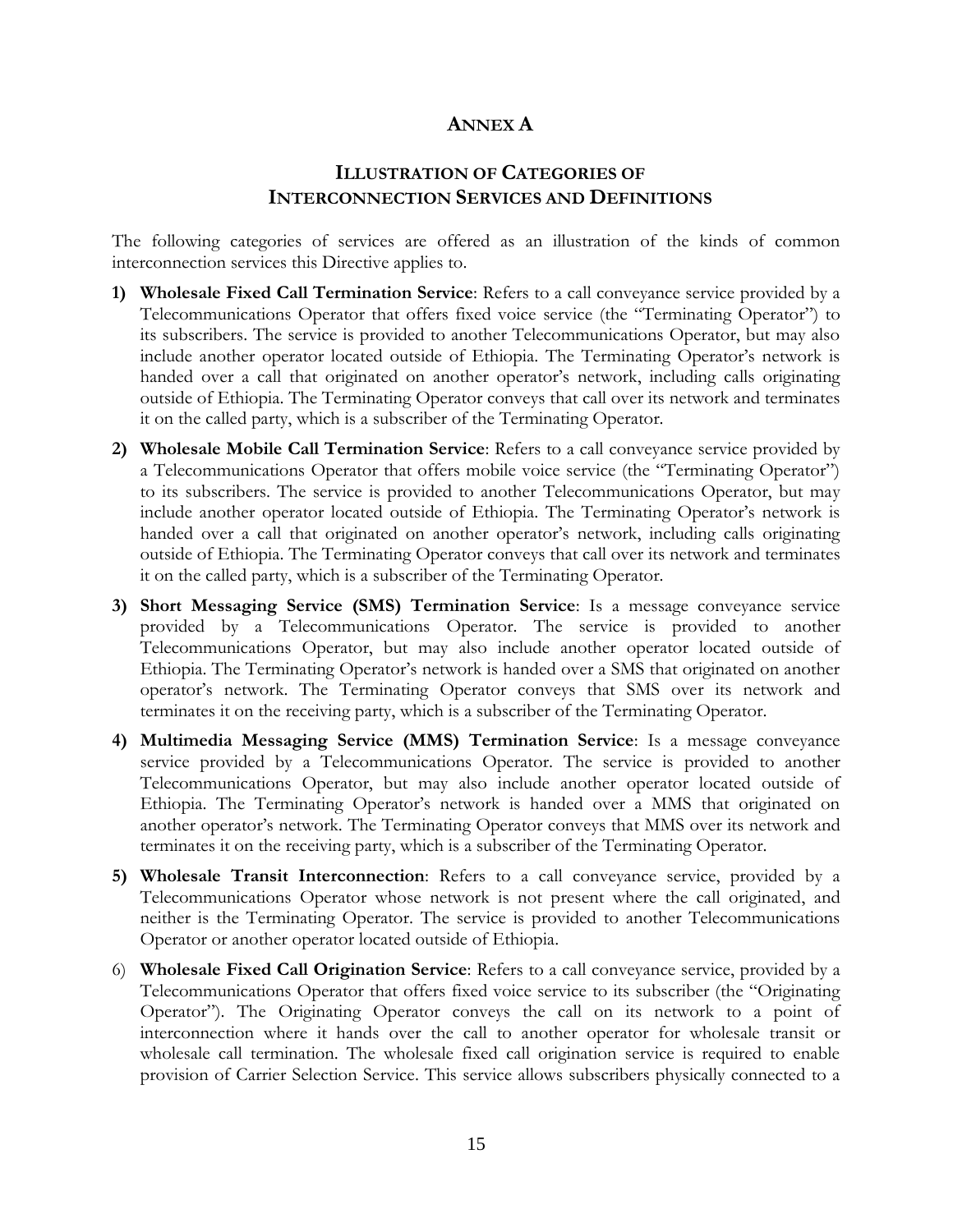# **ANNEX A**

# **ILLUSTRATION OF CATEGORIES OF INTERCONNECTION SERVICES AND DEFINITIONS**

The following categories of services are offered as an illustration of the kinds of common interconnection services this Directive applies to.

- **1) Wholesale Fixed Call Termination Service**: Refers to a call conveyance service provided by a Telecommunications Operator that offers fixed voice service (the "Terminating Operator") to its subscribers. The service is provided to another Telecommunications Operator, but may also include another operator located outside of Ethiopia. The Terminating Operator's network is handed over a call that originated on another operator's network, including calls originating outside of Ethiopia. The Terminating Operator conveys that call over its network and terminates it on the called party, which is a subscriber of the Terminating Operator.
- **2) Wholesale Mobile Call Termination Service**: Refers to a call conveyance service provided by a Telecommunications Operator that offers mobile voice service (the "Terminating Operator") to its subscribers. The service is provided to another Telecommunications Operator, but may include another operator located outside of Ethiopia. The Terminating Operator's network is handed over a call that originated on another operator's network, including calls originating outside of Ethiopia. The Terminating Operator conveys that call over its network and terminates it on the called party, which is a subscriber of the Terminating Operator.
- **3) Short Messaging Service (SMS) Termination Service**: Is a message conveyance service provided by a Telecommunications Operator. The service is provided to another Telecommunications Operator, but may also include another operator located outside of Ethiopia. The Terminating Operator's network is handed over a SMS that originated on another operator's network. The Terminating Operator conveys that SMS over its network and terminates it on the receiving party, which is a subscriber of the Terminating Operator.
- **4) Multimedia Messaging Service (MMS) Termination Service**: Is a message conveyance service provided by a Telecommunications Operator. The service is provided to another Telecommunications Operator, but may also include another operator located outside of Ethiopia. The Terminating Operator's network is handed over a MMS that originated on another operator's network. The Terminating Operator conveys that MMS over its network and terminates it on the receiving party, which is a subscriber of the Terminating Operator.
- **5) Wholesale Transit Interconnection**: Refers to a call conveyance service, provided by a Telecommunications Operator whose network is not present where the call originated, and neither is the Terminating Operator. The service is provided to another Telecommunications Operator or another operator located outside of Ethiopia.
- 6) **Wholesale Fixed Call Origination Service**: Refers to a call conveyance service, provided by a Telecommunications Operator that offers fixed voice service to its subscriber (the "Originating Operator"). The Originating Operator conveys the call on its network to a point of interconnection where it hands over the call to another operator for wholesale transit or wholesale call termination. The wholesale fixed call origination service is required to enable provision of Carrier Selection Service. This service allows subscribers physically connected to a